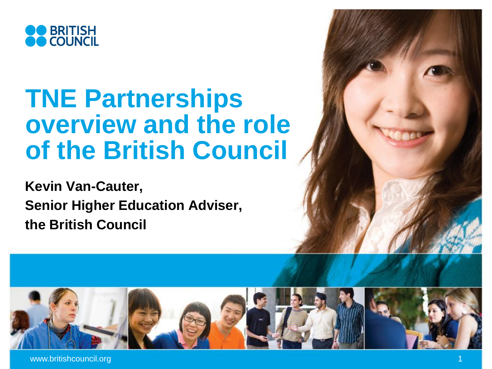

# **TNE Partnerships overview and the role of the British Council**

**Kevin Van-Cauter, Senior Higher Education Adviser, the British Council**

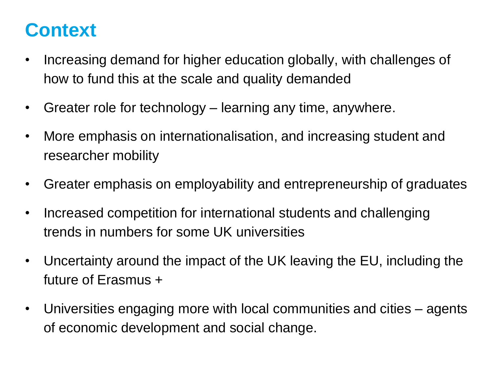# **Context**

- Increasing demand for higher education globally, with challenges of how to fund this at the scale and quality demanded
- Greater role for technology learning any time, anywhere.
- More emphasis on internationalisation, and increasing student and researcher mobility
- Greater emphasis on employability and entrepreneurship of graduates
- Increased competition for international students and challenging trends in numbers for some UK universities
- Uncertainty around the impact of the UK leaving the EU, including the future of Erasmus +
- Universities engaging more with local communities and cities agents of economic development and social change.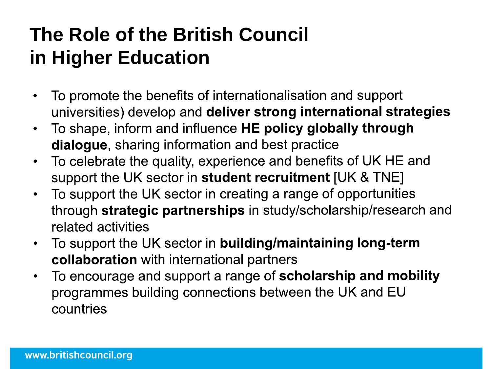# **The Role of the British Council in Higher Education**

- To promote the benefits of internationalisation and support universities) develop and deliver strong international strategies
- To shape, inform and influence HE policy globally through dialogue, sharing information and best practice
- To celebrate the quality, experience and benefits of UK HE and  $\bullet$ support the UK sector in student recruitment [UK & TNE]
- To support the UK sector in creating a range of opportunities through strategic partnerships in study/scholarship/research and related activities
- To support the UK sector in **building/maintaining long-term** collaboration with international partners
- To encourage and support a range of scholarship and mobility  $\bullet$ programmes building connections between the UK and EU countries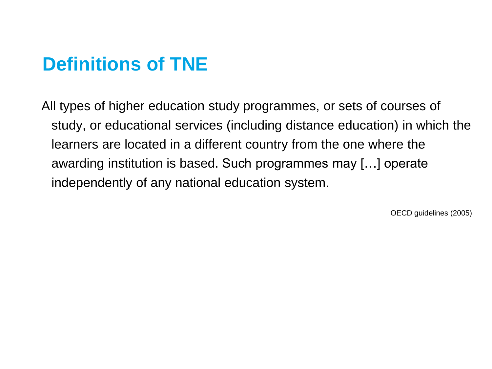# **Definitions of TNE**

All types of higher education study programmes, or sets of courses of study, or educational services (including distance education) in which the learners are located in a different country from the one where the awarding institution is based. Such programmes may […] operate independently of any national education system.

OECD guidelines (2005)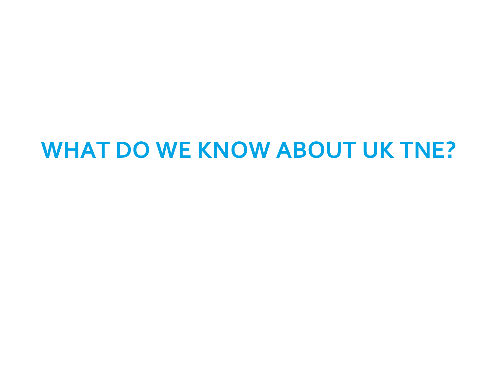# **WHAT DO WE KNOW ABOUT UK TNE?**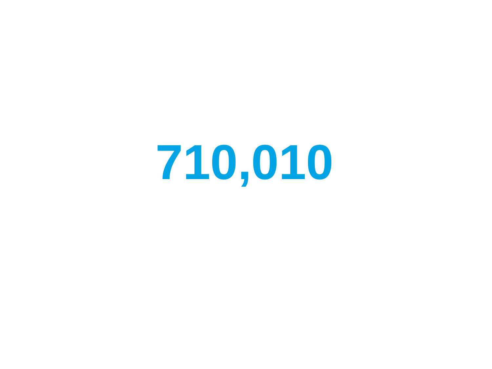**710,010**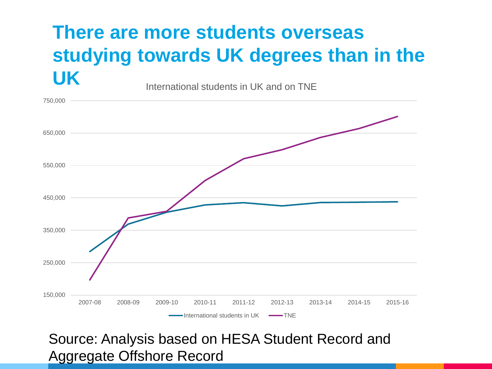#### **There are more students overseas studying towards UK degrees than in the UK** International students in UK and on TNE



#### Source: Analysis based on HESA Student Record and Aggregate Offshore Record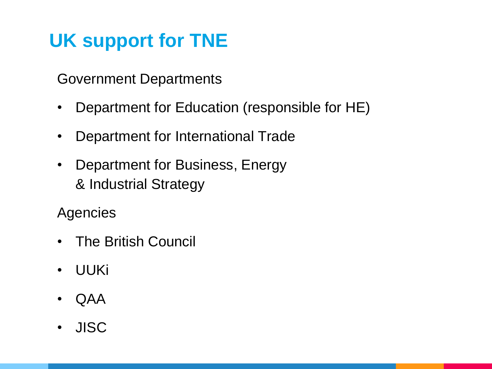# **UK support for TNE**

Government Departments

- Department for Education (responsible for HE)
- Department for International Trade
- Department for Business, Energy & Industrial Strategy

**Agencies** 

- The British Council
- UUKi
- QAA
- JISC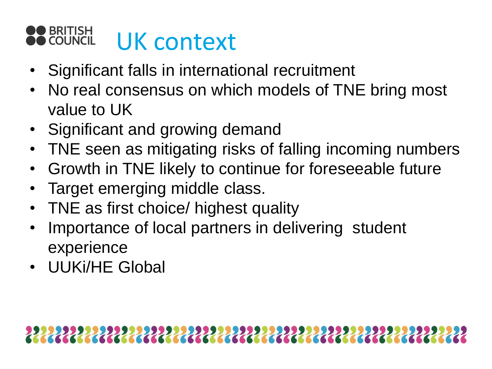#### UK context**OUNCIL**

- Significant falls in international recruitment
- No real consensus on which models of TNE bring most value to UK
- Significant and growing demand
- TNE seen as mitigating risks of falling incoming numbers
- Growth in TNE likely to continue for foreseeable future
- Target emerging middle class.
- TNE as first choice/ highest quality
- Importance of local partners in delivering student experience
- UUKi/HE Global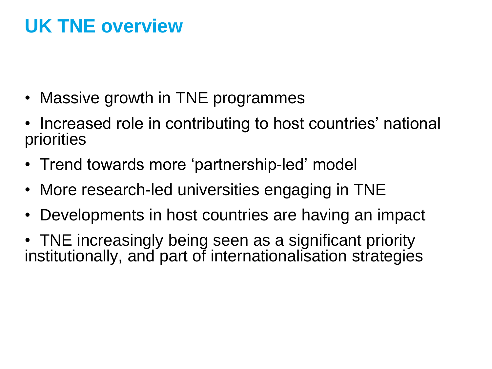# **UK TNE overview**

- Massive growth in TNE programmes
- Increased role in contributing to host countries' national priorities
- Trend towards more 'partnership-led' model
- More research-led universities engaging in TNE
- Developments in host countries are having an impact
- TNE increasingly being seen as a significant priority institutionally, and part of internationalisation strategies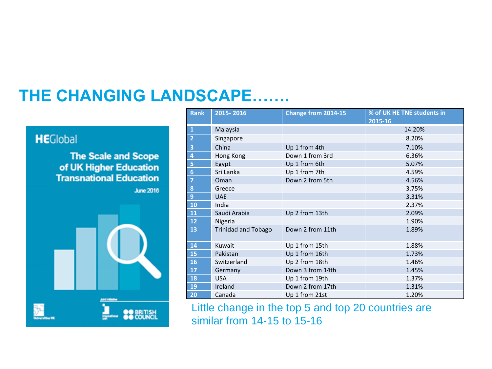#### **THE CHANGING LANDSCAPE…….**

#### **HE**Global

**The Scale and Scope** of UK Higher Education<br>Transnational Education

**June 2016** 



| <b>Rank</b>             | 2015-2016                  | Change from 2014-15 | % of UK HE TNE students in |
|-------------------------|----------------------------|---------------------|----------------------------|
|                         |                            |                     | 2015-16                    |
| $\mathbf{1}$            | Malaysia                   |                     | 14.20%                     |
| $\overline{\mathbf{c}}$ | Singapore                  |                     | 8.20%                      |
|                         | China                      | Up 1 from 4th       | 7.10%                      |
| 4                       | Hong Kong                  | Down 1 from 3rd     | 6.36%                      |
| 5                       | Egypt                      | Up 1 from 6th       | 5.07%                      |
| $\boldsymbol{6}$        | Sri Lanka                  | Up 1 from 7th       | 4.59%                      |
| $\overline{7}$          | Oman                       | Down 2 from 5th     | 4.56%                      |
| 8                       | Greece                     |                     | 3.75%                      |
| $\overline{9}$          | <b>UAE</b>                 |                     | 3.31%                      |
| 10                      | India                      |                     | 2.37%                      |
| 11                      | Saudi Arabia               | Up 2 from 13th      | 2.09%                      |
| 12                      | Nigeria                    |                     | 1.90%                      |
| 13                      | <b>Trinidad and Tobago</b> | Down 2 from 11th    | 1.89%                      |
| 14                      | Kuwait                     | Up 1 from 15th      | 1.88%                      |
| 15                      | Pakistan                   | Up 1 from 16th      | 1.73%                      |
| <b>16</b>               | Switzerland                | Up 2 from 18th      | 1.46%                      |
| 17                      | Germany                    | Down 3 from 14th    | 1.45%                      |
| 18                      | <b>USA</b>                 | Up 1 from 19th      | 1.37%                      |
| 19                      | Ireland                    | Down 2 from 17th    | 1.31%                      |
| 20                      | Canada                     | Up 1 from 21st      | 1.20%                      |

Little change in the top 5 and top 20 countries are similar from 14-15 to 15-16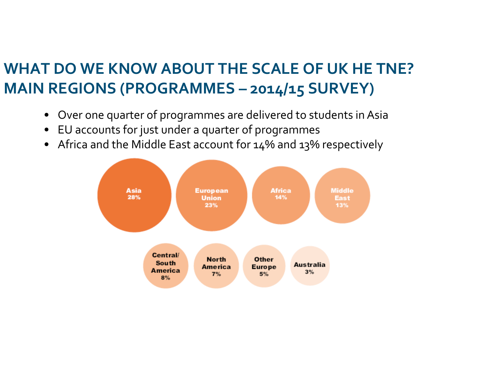### **WHAT DO WE KNOW ABOUT THE SCALE OF UK HE TNE? MAIN REGIONS (PROGRAMMES – 2014/15 SURVEY)**

- Over one quarter of programmes are delivered to students in Asia
- EU accounts for just under a quarter of programmes
- Africa and the Middle East account for 14% and 13% respectively

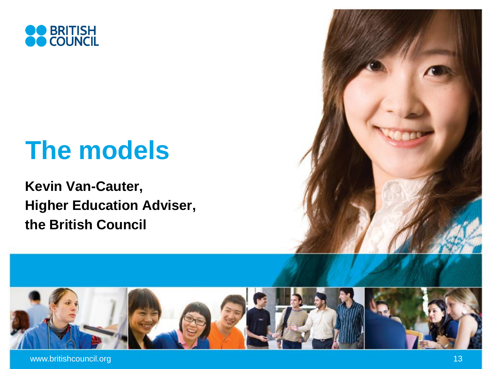

# **The models**

**Kevin Van-Cauter, Higher Education Adviser, the British Council**

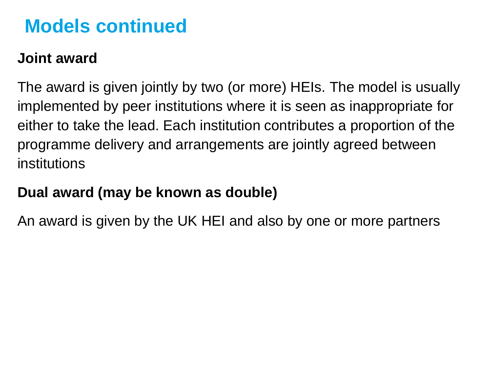## **Models continued**

#### **Joint award**

The award is given jointly by two (or more) HEIs. The model is usually implemented by peer institutions where it is seen as inappropriate for either to take the lead. Each institution contributes a proportion of the programme delivery and arrangements are jointly agreed between institutions

#### **Dual award (may be known as double)**

An award is given by the UK HEI and also by one or more partners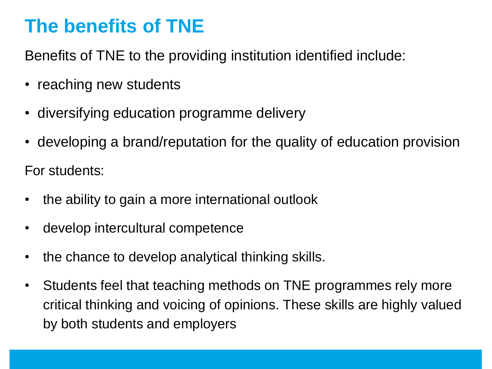# **The benefits of TNE**

Benefits of TNE to the providing institution identified include:

- reaching new students
- diversifying education programme delivery
- developing a brand/reputation for the quality of education provision

For students:

- the ability to gain a more international outlook
- develop intercultural competence
- the chance to develop analytical thinking skills.
- Students feel that teaching methods on TNE programmes rely more critical thinking and voicing of opinions. These skills are highly valued by both students and employers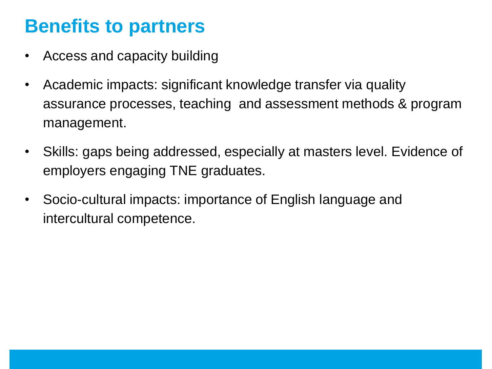## **Benefits to partners**

- Access and capacity building
- Academic impacts: significant knowledge transfer via quality assurance processes, teaching and assessment methods & program management.
- Skills: gaps being addressed, especially at masters level. Evidence of employers engaging TNE graduates.
- Socio-cultural impacts: importance of English language and intercultural competence.